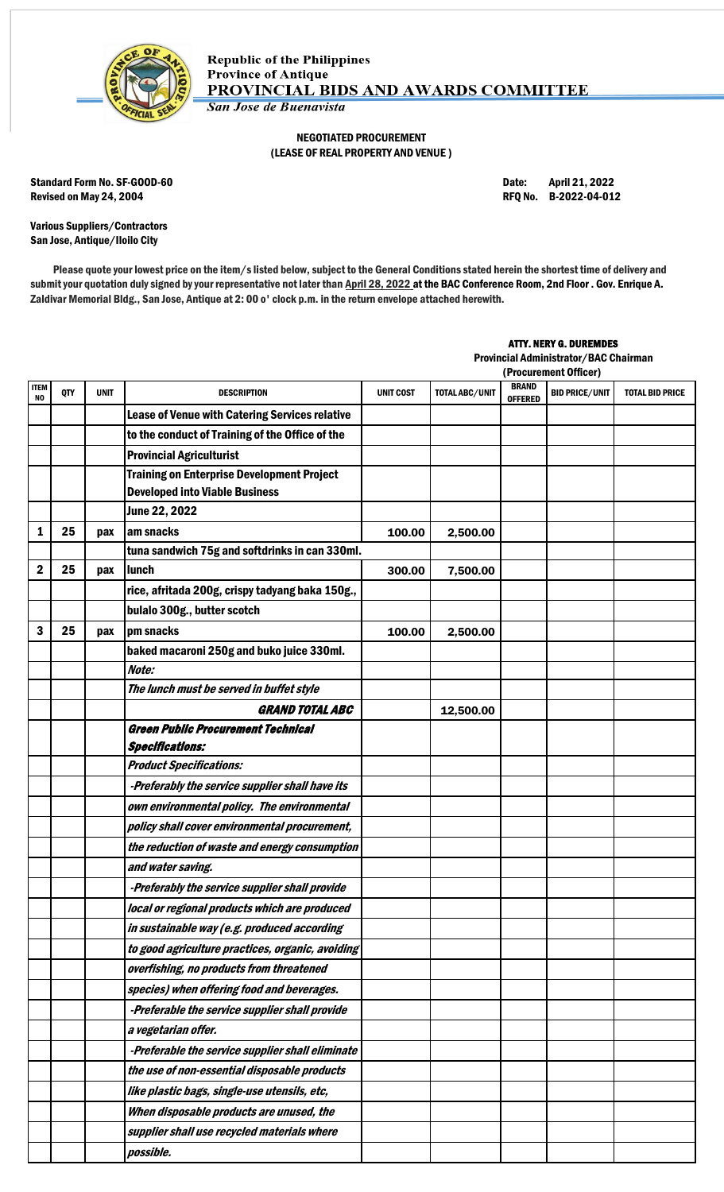

## NEGOTIATED PROCUREMENT (LEASE OF REAL PROPERTY AND VENUE )

Standard Form No. SF-GOOD-60 **Date:** April 21, 2022 Revised on May 24, 2004 **Review 12 and 2012** RFQ No. B-2022-04-012

Various Suppliers/Contractors San Jose, Antique/Iloilo City

Please quote your lowest price on the item/s listed below, subject to the General Conditions stated herein the shortest time of delivery and submit your quotation duly signed by your representative not later than April 28, 2022 at the BAC Conference Room, 2nd Floor . Gov. Enrique A. Zaldivar Memorial Bldg., San Jose, Antique at 2: 00 o' clock p.m. in the return envelope attached herewith.

## ATTY. NERY G. DUREMDES

Provincial Administrator/BAC Chairman

|             |            |             |                                                                                            |                  |                       |                                | (Procurement Officer) |                        |
|-------------|------------|-------------|--------------------------------------------------------------------------------------------|------------------|-----------------------|--------------------------------|-----------------------|------------------------|
| ITEM<br>NO. | <b>QTY</b> | <b>UNIT</b> | <b>DESCRIPTION</b>                                                                         | <b>UNIT COST</b> | <b>TOTAL ABC/UNIT</b> | <b>BRAND</b><br><b>OFFERED</b> | <b>BID PRICE/UNIT</b> | <b>TOTAL BID PRICE</b> |
|             |            |             | Lease of Venue with Catering Services relative                                             |                  |                       |                                |                       |                        |
|             |            |             | to the conduct of Training of the Office of the                                            |                  |                       |                                |                       |                        |
|             |            |             | <b>Provincial Agriculturist</b>                                                            |                  |                       |                                |                       |                        |
|             |            |             | <b>Training on Enterprise Development Project</b><br><b>Developed into Viable Business</b> |                  |                       |                                |                       |                        |
|             |            |             | June 22, 2022                                                                              |                  |                       |                                |                       |                        |
| 1           | 25         | pax         | am snacks                                                                                  | 100.00           | 2,500.00              |                                |                       |                        |
|             |            |             | tuna sandwich 75g and softdrinks in can 330ml.                                             |                  |                       |                                |                       |                        |
| 2           | 25         | pax         | lunch                                                                                      | 300.00           | 7,500.00              |                                |                       |                        |
|             |            |             | rice, afritada 200g, crispy tadyang baka 150g.,                                            |                  |                       |                                |                       |                        |
|             |            |             | bulalo 300g., butter scotch                                                                |                  |                       |                                |                       |                        |
| 3           | 25         | pax         | pm snacks                                                                                  | 100.00           | 2,500.00              |                                |                       |                        |
|             |            |             | baked macaroni 250g and buko juice 330ml.                                                  |                  |                       |                                |                       |                        |
|             |            |             | Note:                                                                                      |                  |                       |                                |                       |                        |
|             |            |             | The lunch must be served in buffet style                                                   |                  |                       |                                |                       |                        |
|             |            |             | <b>GRAND TOTAL ABC</b>                                                                     |                  | 12,500.00             |                                |                       |                        |
|             |            |             | <b>Green Public Procurement Technical</b>                                                  |                  |                       |                                |                       |                        |
|             |            |             | <b>Specifications:</b>                                                                     |                  |                       |                                |                       |                        |
|             |            |             | <b>Product Specifications:</b>                                                             |                  |                       |                                |                       |                        |
|             |            |             | -Preferably the service supplier shall have its                                            |                  |                       |                                |                       |                        |
|             |            |             | own environmental policy. The environmental                                                |                  |                       |                                |                       |                        |
|             |            |             | policy shall cover environmental procurement,                                              |                  |                       |                                |                       |                        |
|             |            |             | the reduction of waste and energy consumption                                              |                  |                       |                                |                       |                        |
|             |            |             | and water saving.                                                                          |                  |                       |                                |                       |                        |
|             |            |             | -Preferably the service supplier shall provide                                             |                  |                       |                                |                       |                        |
|             |            |             | local or regional products which are produced                                              |                  |                       |                                |                       |                        |
|             |            |             | in sustainable way (e.g. produced according                                                |                  |                       |                                |                       |                        |
|             |            |             | to good agriculture practices, organic, avoiding                                           |                  |                       |                                |                       |                        |
|             |            |             | overfishing, no products from threatened                                                   |                  |                       |                                |                       |                        |
|             |            |             | species) when offering food and beverages.                                                 |                  |                       |                                |                       |                        |
|             |            |             | -Preferable the service supplier shall provide                                             |                  |                       |                                |                       |                        |
|             |            |             | a vegetarian offer.                                                                        |                  |                       |                                |                       |                        |
|             |            |             | -Preferable the service supplier shall eliminate                                           |                  |                       |                                |                       |                        |
|             |            |             | the use of non-essential disposable products                                               |                  |                       |                                |                       |                        |
|             |            |             | like plastic bags, single-use utensils, etc,                                               |                  |                       |                                |                       |                        |
|             |            |             | When disposable products are unused, the                                                   |                  |                       |                                |                       |                        |
|             |            |             | supplier shall use recycled materials where                                                |                  |                       |                                |                       |                        |
|             |            |             | possible.                                                                                  |                  |                       |                                |                       |                        |